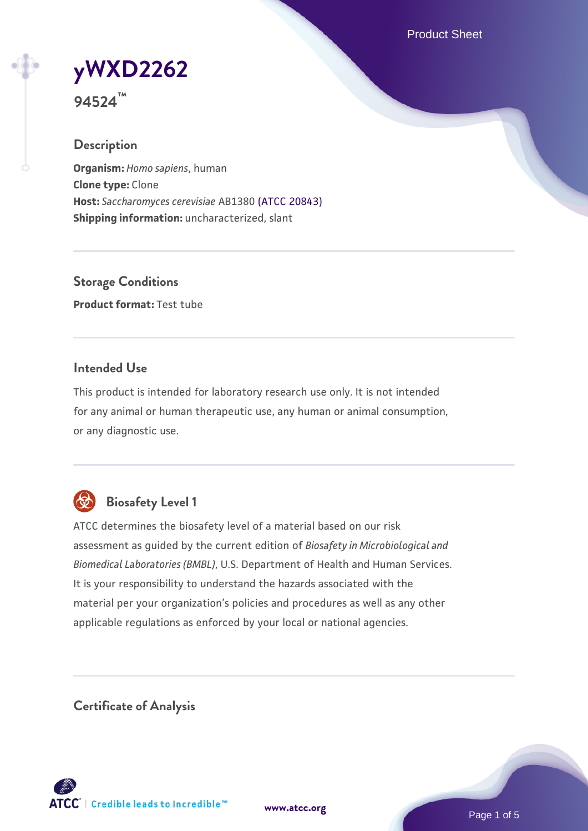Product Sheet

**[yWXD2262](https://www.atcc.org/products/94524)**

**94524™**

### **Description**

**Organism:** *Homo sapiens*, human **Clone type:** Clone **Host:** *Saccharomyces cerevisiae* AB1380 [\(ATCC 20843\)](https://www.atcc.org/products/20843) **Shipping information:** uncharacterized, slant

**Storage Conditions Product format:** Test tube

### **Intended Use**

This product is intended for laboratory research use only. It is not intended for any animal or human therapeutic use, any human or animal consumption, or any diagnostic use.



# **Biosafety Level 1**

ATCC determines the biosafety level of a material based on our risk assessment as guided by the current edition of *Biosafety in Microbiological and Biomedical Laboratories (BMBL)*, U.S. Department of Health and Human Services. It is your responsibility to understand the hazards associated with the material per your organization's policies and procedures as well as any other applicable regulations as enforced by your local or national agencies.

**Certificate of Analysis**

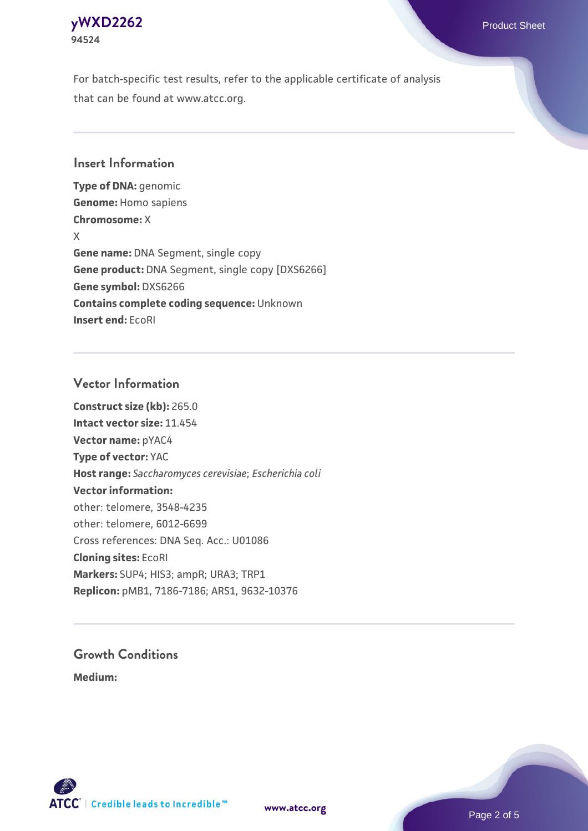

For batch-specific test results, refer to the applicable certificate of analysis that can be found at www.atcc.org.

#### **Insert Information**

**Type of DNA:** genomic **Genome:** Homo sapiens **Chromosome:** X X **Gene name:** DNA Segment, single copy **Gene product:** DNA Segment, single copy [DXS6266] **Gene symbol:** DXS6266 **Contains complete coding sequence:** Unknown **Insert end:** EcoRI

#### **Vector Information**

**Construct size (kb):** 265.0 **Intact vector size:** 11.454 **Vector name:** pYAC4 **Type of vector:** YAC **Host range:** *Saccharomyces cerevisiae*; *Escherichia coli* **Vector information:** other: telomere, 3548-4235 other: telomere, 6012-6699 Cross references: DNA Seq. Acc.: U01086 **Cloning sites:** EcoRI **Markers:** SUP4; HIS3; ampR; URA3; TRP1 **Replicon:** pMB1, 7186-7186; ARS1, 9632-10376

# **Growth Conditions**

**Medium:** 





Page 2 of 5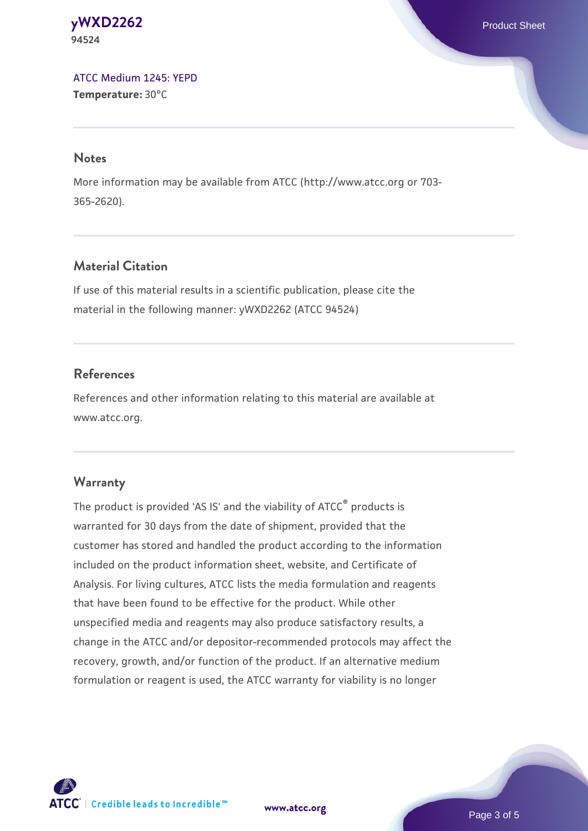**[yWXD2262](https://www.atcc.org/products/94524)** Product Sheet **94524**

[ATCC Medium 1245: YEPD](https://www.atcc.org/-/media/product-assets/documents/microbial-media-formulations/1/2/4/5/atcc-medium-1245.pdf?rev=705ca55d1b6f490a808a965d5c072196) **Temperature:** 30°C

#### **Notes**

More information may be available from ATCC (http://www.atcc.org or 703- 365-2620).

### **Material Citation**

If use of this material results in a scientific publication, please cite the material in the following manner: yWXD2262 (ATCC 94524)

### **References**

References and other information relating to this material are available at www.atcc.org.

#### **Warranty**

The product is provided 'AS IS' and the viability of ATCC® products is warranted for 30 days from the date of shipment, provided that the customer has stored and handled the product according to the information included on the product information sheet, website, and Certificate of Analysis. For living cultures, ATCC lists the media formulation and reagents that have been found to be effective for the product. While other unspecified media and reagents may also produce satisfactory results, a change in the ATCC and/or depositor-recommended protocols may affect the recovery, growth, and/or function of the product. If an alternative medium formulation or reagent is used, the ATCC warranty for viability is no longer

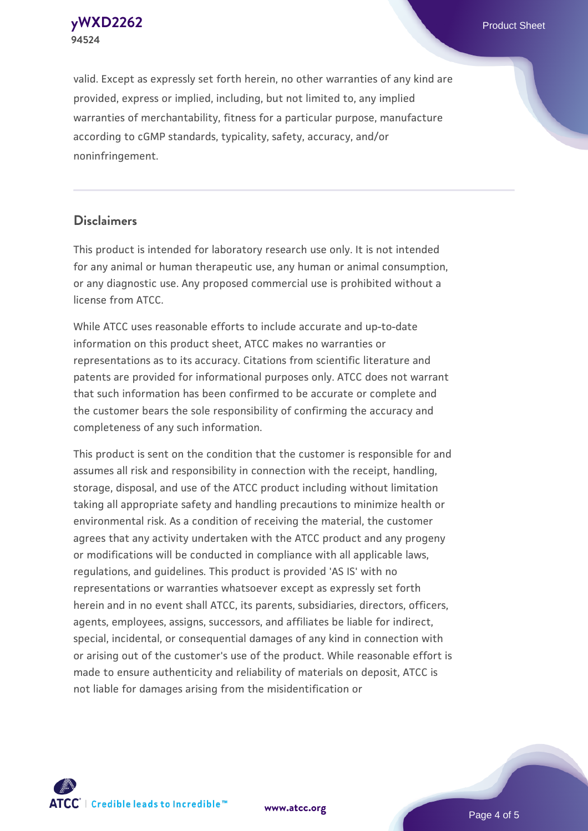**[yWXD2262](https://www.atcc.org/products/94524)** Product Sheet **94524**

valid. Except as expressly set forth herein, no other warranties of any kind are provided, express or implied, including, but not limited to, any implied warranties of merchantability, fitness for a particular purpose, manufacture according to cGMP standards, typicality, safety, accuracy, and/or noninfringement.

#### **Disclaimers**

This product is intended for laboratory research use only. It is not intended for any animal or human therapeutic use, any human or animal consumption, or any diagnostic use. Any proposed commercial use is prohibited without a license from ATCC.

While ATCC uses reasonable efforts to include accurate and up-to-date information on this product sheet, ATCC makes no warranties or representations as to its accuracy. Citations from scientific literature and patents are provided for informational purposes only. ATCC does not warrant that such information has been confirmed to be accurate or complete and the customer bears the sole responsibility of confirming the accuracy and completeness of any such information.

This product is sent on the condition that the customer is responsible for and assumes all risk and responsibility in connection with the receipt, handling, storage, disposal, and use of the ATCC product including without limitation taking all appropriate safety and handling precautions to minimize health or environmental risk. As a condition of receiving the material, the customer agrees that any activity undertaken with the ATCC product and any progeny or modifications will be conducted in compliance with all applicable laws, regulations, and guidelines. This product is provided 'AS IS' with no representations or warranties whatsoever except as expressly set forth herein and in no event shall ATCC, its parents, subsidiaries, directors, officers, agents, employees, assigns, successors, and affiliates be liable for indirect, special, incidental, or consequential damages of any kind in connection with or arising out of the customer's use of the product. While reasonable effort is made to ensure authenticity and reliability of materials on deposit, ATCC is not liable for damages arising from the misidentification or



**[www.atcc.org](http://www.atcc.org)**

Page 4 of 5